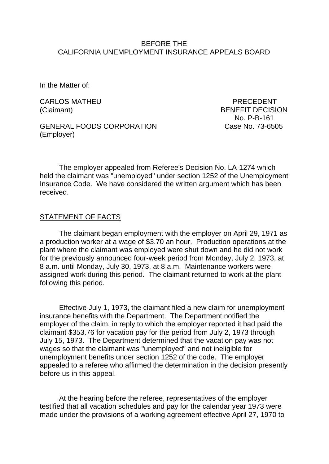### BEFORE THE CALIFORNIA UNEMPLOYMENT INSURANCE APPEALS BOARD

In the Matter of:

CARLOS MATHEU PRECEDENT

(Claimant) BENEFIT DECISION No. P-B-161

GENERAL FOODS CORPORATION Case No. 73-6505 (Employer)

The employer appealed from Referee's Decision No. LA-1274 which held the claimant was "unemployed" under section 1252 of the Unemployment Insurance Code. We have considered the written argument which has been received.

### STATEMENT OF FACTS

The claimant began employment with the employer on April 29, 1971 as a production worker at a wage of \$3.70 an hour. Production operations at the plant where the claimant was employed were shut down and he did not work for the previously announced four-week period from Monday, July 2, 1973, at 8 a.m. until Monday, July 30, 1973, at 8 a.m. Maintenance workers were assigned work during this period. The claimant returned to work at the plant following this period.

Effective July 1, 1973, the claimant filed a new claim for unemployment insurance benefits with the Department. The Department notified the employer of the claim, in reply to which the employer reported it had paid the claimant \$353.76 for vacation pay for the period from July 2, 1973 through July 15, 1973. The Department determined that the vacation pay was not wages so that the claimant was "unemployed" and not ineligible for unemployment benefits under section 1252 of the code. The employer appealed to a referee who affirmed the determination in the decision presently before us in this appeal.

At the hearing before the referee, representatives of the employer testified that all vacation schedules and pay for the calendar year 1973 were made under the provisions of a working agreement effective April 27, 1970 to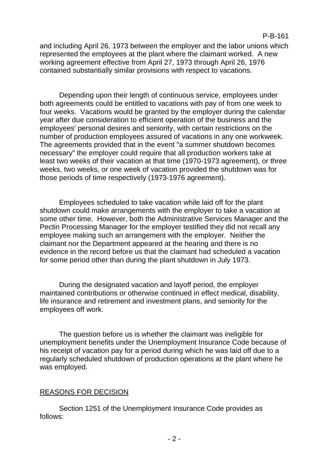and including April 26, 1973 between the employer and the labor unions which represented the employees at the plant where the claimant worked. A new working agreement effective from April 27, 1973 through April 26, 1976 contained substantially similar provisions with respect to vacations.

Depending upon their length of continuous service, employees under both agreements could be entitled to vacations with pay of from one week to four weeks. Vacations would be granted by the employer during the calendar year after due consideration to efficient operation of the business and the employees' personal desires and seniority, with certain restrictions on the number of production employees assured of vacations in any one workweek. The agreements provided that in the event "a summer shutdown becomes necessary" the employer could require that all production workers take at least two weeks of their vacation at that time (1970-1973 agreement), or three weeks, two weeks, or one week of vacation provided the shutdown was for those periods of time respectively (1973-1976 agreement).

Employees scheduled to take vacation while laid off for the plant shutdown could make arrangements with the employer to take a vacation at some other time. However, both the Administrative Services Manager and the Pectin Processing Manager for the employer testified they did not recall any employee making such an arrangement with the employer. Neither the claimant nor the Department appeared at the hearing and there is no evidence in the record before us that the claimant had scheduled a vacation for some period other than during the plant shutdown in July 1973.

During the designated vacation and layoff period, the employer maintained contributions or otherwise continued in effect medical, disability, life insurance and retirement and investment plans, and seniority for the employees off work.

The question before us is whether the claimant was ineligible for unemployment benefits under the Unemployment Insurance Code because of his receipt of vacation pay for a period during which he was laid off due to a regularly scheduled shutdown of production operations at the plant where he was employed.

## REASONS FOR DECISION

Section 1251 of the Unemployment Insurance Code provides as follows: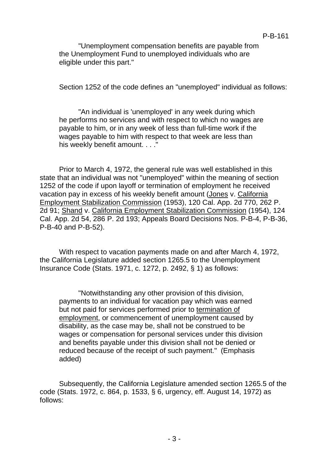"Unemployment compensation benefits are payable from the Unemployment Fund to unemployed individuals who are eligible under this part."

Section 1252 of the code defines an "unemployed" individual as follows:

"An individual is 'unemployed' in any week during which he performs no services and with respect to which no wages are payable to him, or in any week of less than full-time work if the wages payable to him with respect to that week are less than his weekly benefit amount. . . ."

Prior to March 4, 1972, the general rule was well established in this state that an individual was not "unemployed" within the meaning of section 1252 of the code if upon layoff or termination of employment he received vacation pay in excess of his weekly benefit amount (Jones v. California Employment Stabilization Commission (1953), 120 Cal. App. 2d 770, 262 P. 2d 91; Shand v. California Employment Stabilization Commission (1954), 124 Cal. App. 2d 54, 286 P. 2d 193; Appeals Board Decisions Nos. P-B-4, P-B-36, P-B-40 and P-B-52).

With respect to vacation payments made on and after March 4, 1972, the California Legislature added section 1265.5 to the Unemployment Insurance Code (Stats. 1971, c. 1272, p. 2492, § 1) as follows:

"Notwithstanding any other provision of this division, payments to an individual for vacation pay which was earned but not paid for services performed prior to termination of employment, or commencement of unemployment caused by disability, as the case may be, shall not be construed to be wages or compensation for personal services under this division and benefits payable under this division shall not be denied or reduced because of the receipt of such payment." (Emphasis added)

Subsequently, the California Legislature amended section 1265.5 of the code (Stats. 1972, c. 864, p. 1533, § 6, urgency, eff. August 14, 1972) as follows: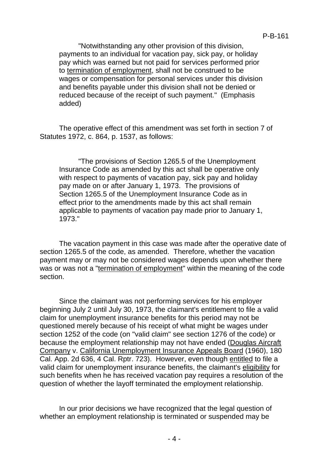"Notwithstanding any other provision of this division, payments to an individual for vacation pay, sick pay, or holiday pay which was earned but not paid for services performed prior to termination of employment, shall not be construed to be wages or compensation for personal services under this division and benefits payable under this division shall not be denied or reduced because of the receipt of such payment." (Emphasis added)

The operative effect of this amendment was set forth in section 7 of Statutes 1972, c. 864, p. 1537, as follows:

"The provisions of Section 1265.5 of the Unemployment Insurance Code as amended by this act shall be operative only with respect to payments of vacation pay, sick pay and holiday pay made on or after January 1, 1973. The provisions of Section 1265.5 of the Unemployment Insurance Code as in effect prior to the amendments made by this act shall remain applicable to payments of vacation pay made prior to January 1, 1973."

The vacation payment in this case was made after the operative date of section 1265.5 of the code, as amended. Therefore, whether the vacation payment may or may not be considered wages depends upon whether there was or was not a "termination of employment" within the meaning of the code section.

Since the claimant was not performing services for his employer beginning July 2 until July 30, 1973, the claimant's entitlement to file a valid claim for unemployment insurance benefits for this period may not be questioned merely because of his receipt of what might be wages under section 1252 of the code (on "valid claim" see section 1276 of the code) or because the employment relationship may not have ended (Douglas Aircraft Company v. California Unemployment Insurance Appeals Board (1960), 180 Cal. App. 2d 636, 4 Cal. Rptr. 723). However, even though entitled to file a valid claim for unemployment insurance benefits, the claimant's eligibility for such benefits when he has received vacation pay requires a resolution of the question of whether the layoff terminated the employment relationship.

In our prior decisions we have recognized that the legal question of whether an employment relationship is terminated or suspended may be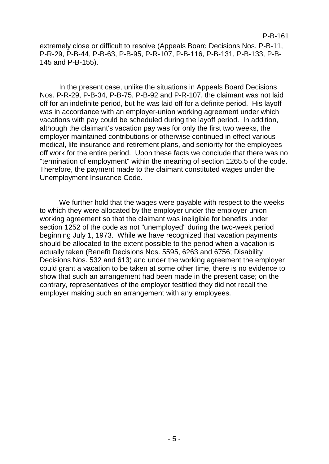#### P-B-161

extremely close or difficult to resolve (Appeals Board Decisions Nos. P-B-11, P-R-29, P-B-44, P-B-63, P-B-95, P-R-107, P-B-116, P-B-131, P-B-133, P-B-145 and P-B-155).

In the present case, unlike the situations in Appeals Board Decisions Nos. P-R-29, P-B-34, P-B-75, P-B-92 and P-R-107, the claimant was not laid off for an indefinite period, but he was laid off for a definite period. His layoff was in accordance with an employer-union working agreement under which vacations with pay could be scheduled during the layoff period. In addition, although the claimant's vacation pay was for only the first two weeks, the employer maintained contributions or otherwise continued in effect various medical, life insurance and retirement plans, and seniority for the employees off work for the entire period. Upon these facts we conclude that there was no "termination of employment" within the meaning of section 1265.5 of the code. Therefore, the payment made to the claimant constituted wages under the Unemployment Insurance Code.

We further hold that the wages were payable with respect to the weeks to which they were allocated by the employer under the employer-union working agreement so that the claimant was ineligible for benefits under section 1252 of the code as not "unemployed" during the two-week period beginning July 1, 1973. While we have recognized that vacation payments should be allocated to the extent possible to the period when a vacation is actually taken (Benefit Decisions Nos. 5595, 6263 and 6756; Disability Decisions Nos. 532 and 613) and under the working agreement the employer could grant a vacation to be taken at some other time, there is no evidence to show that such an arrangement had been made in the present case; on the contrary, representatives of the employer testified they did not recall the employer making such an arrangement with any employees.